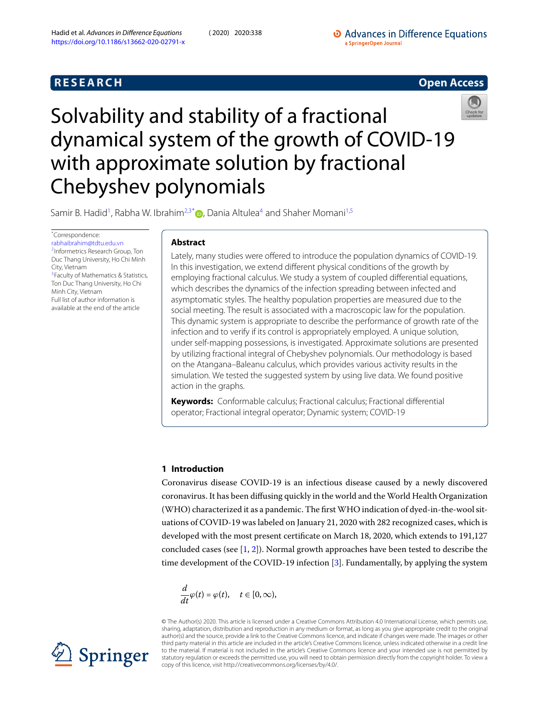# **R E S E A R C H Open Access**



<span id="page-0-0"></span>Solvability and stability of a fractional dynamical system of the growth of COVID-19 with approximate solution by fractional Chebyshev polynomials

Samir B. Hadid<sup>[1](#page-14-0)</sup>, Rabha W. Ibrahim<sup>[2,](#page-14-1)[3](#page-14-2)[\\*](#page-0-0)</sup>®, Dania Altulea<sup>[4](#page-14-3)</sup> and Shaher Momani<sup>[1,](#page-14-0)[5](#page-14-4)</sup>

\*Correspondence:

[r](#page-14-1)[abhaibrahim@tdtu.edu.vn](mailto:rabhaibrahim@tdtu.edu.vn) 2 Informetrics Research Group, Ton Duc Thang University, Ho Chi Minh [C](#page-14-2)ity, Vietnam <sup>3</sup> Faculty of Mathematics & Statistics, Ton Duc Thang University, Ho Chi Minh City, Vietnam Full list of author information is available at the end of the article

# **Abstract**

Lately, many studies were offered to introduce the population dynamics of COVID-19. In this investigation, we extend different physical conditions of the growth by employing fractional calculus. We study a system of coupled differential equations, which describes the dynamics of the infection spreading between infected and asymptomatic styles. The healthy population properties are measured due to the social meeting. The result is associated with a macroscopic law for the population. This dynamic system is appropriate to describe the performance of growth rate of the infection and to verify if its control is appropriately employed. A unique solution, under self-mapping possessions, is investigated. Approximate solutions are presented by utilizing fractional integral of Chebyshev polynomials. Our methodology is based on the Atangana–Baleanu calculus, which provides various activity results in the simulation. We tested the suggested system by using live data. We found positive action in the graphs.

**Keywords:** Conformable calculus; Fractional calculus; Fractional differential operator; Fractional integral operator; Dynamic system; COVID-19

# **1 Introduction**

Coronavirus disease COVID-19 is an infectious disease caused by a newly discovered coronavirus. It has been diffusing quickly in the world and the World Health Organization (WHO) characterized it as a pandemic. The first WHO indication of dyed-in-the-wool situations of COVID-19 was labeled on January 21, 2020 with 282 recognized cases, which is developed with the most present certificate on March 18, 2020, which extends to 191,127 concluded cases (see  $[1, 2]$  $[1, 2]$ ). Normal growth approaches have been tested to describe the time development of the COVID-19 infection[[3\]](#page-14-7). Fundamentally, by applying the system

$$
\frac{d}{dt}\varphi(t)=\varphi(t),\quad t\in [0,\infty),
$$

© The Author(s) 2020. This article is licensed under a Creative Commons Attribution 4.0 International License, which permits use, sharing, adaptation, distribution and reproduction in any medium or format, as long as you give appropriate credit to the original author(s) and the source, provide a link to the Creative Commons licence, and indicate if changes were made. The images or other third party material in this article are included in the article's Creative Commons licence, unless indicated otherwise in a credit line to the material. If material is not included in the article's Creative Commons licence and your intended use is not permitted by statutory regulation or exceeds the permitted use, you will need to obtain permission directly from the copyright holder. To view a copy of this licence, visit http://creativecommons.org/licenses/by/4.0/.

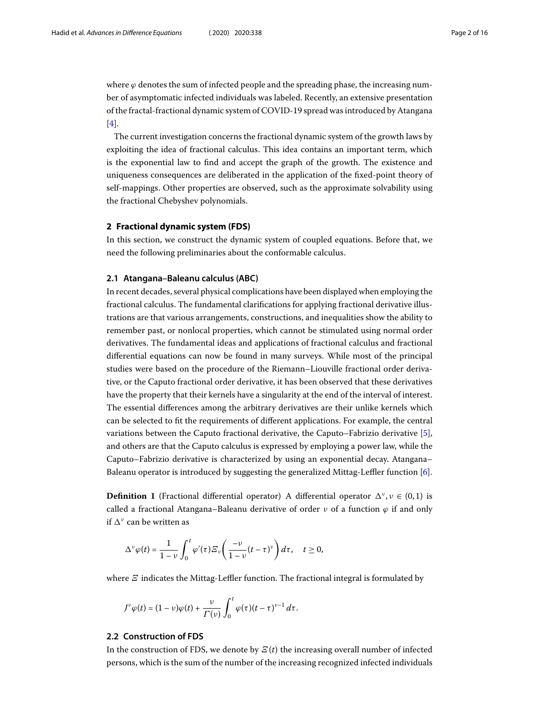where  $\varphi$  denotes the sum of infected people and the spreading phase, the increasing number of asymptomatic infected individuals was labeled. Recently, an extensive presentation of the fractal-fractional dynamic system of COVID-19 spread was introduced by Atangana [[4\]](#page-14-8).

The current investigation concerns the fractional dynamic system of the growth laws by exploiting the idea of fractional calculus. This idea contains an important term, which is the exponential law to find and accept the graph of the growth. The existence and uniqueness consequences are deliberated in the application of the fixed-point theory of self-mappings. Other properties are observed, such as the approximate solvability using the fractional Chebyshev polynomials.

### **2 Fractional dynamic system (FDS)**

In this section, we construct the dynamic system of coupled equations. Before that, we need the following preliminaries about the conformable calculus.

# **2.1 Atangana–Baleanu calculus (ABC)**

In recent decades, several physical complications have been displayed when employing the fractional calculus. The fundamental clarifications for applying fractional derivative illustrations are that various arrangements, constructions, and inequalities show the ability to remember past, or nonlocal properties, which cannot be stimulated using normal order derivatives. The fundamental ideas and applications of fractional calculus and fractional differential equations can now be found in many surveys. While most of the principal studies were based on the procedure of the Riemann–Liouville fractional order derivative, or the Caputo fractional order derivative, it has been observed that these derivatives have the property that their kernels have a singularity at the end of the interval of interest. The essential differences among the arbitrary derivatives are their unlike kernels which can be selected to fit the requirements of different applications. For example, the central variations between the Caputo fractional derivative, the Caputo–Fabrizio derivative[[5\]](#page-14-9), and others are that the Caputo calculus is expressed by employing a power law, while the Caputo–Fabrizio derivative is characterized by using an exponential decay. Atangana– Baleanu operator is introduced by suggesting the generalized Mittag-Leffler function[[6](#page-15-0)].

**Definition 1** (Fractional differential operator) A differential operator  $\Delta^{\nu}$ ,  $\nu \in (0,1)$  is called a fractional Atangana–Baleanu derivative of order  $\nu$  of a function  $\varphi$  if and only if  $\Delta^{\nu}$  can be written as

$$
\Delta^{\nu}\varphi(t)=\frac{1}{1-\nu}\int_0^t\varphi'(\tau)\varXi_{\nu}\bigg(\frac{-\nu}{1-\nu}(t-\tau)^{\nu}\bigg)d\tau,\quad t\geq 0,
$$

where  $\mathcal{E}$  indicates the Mittag-Leffler function. The fractional integral is formulated by

$$
J^{\nu}\varphi(t)=(1-\nu)\varphi(t)+\frac{\nu}{\Gamma(\nu)}\int_0^t\varphi(\tau)(t-\tau)^{\nu-1}\,d\tau.
$$

### **2.2 Construction of FDS**

In the construction of FDS, we denote by  $E(t)$  the increasing overall number of infected persons, which is the sum of the number of the increasing recognized infected individuals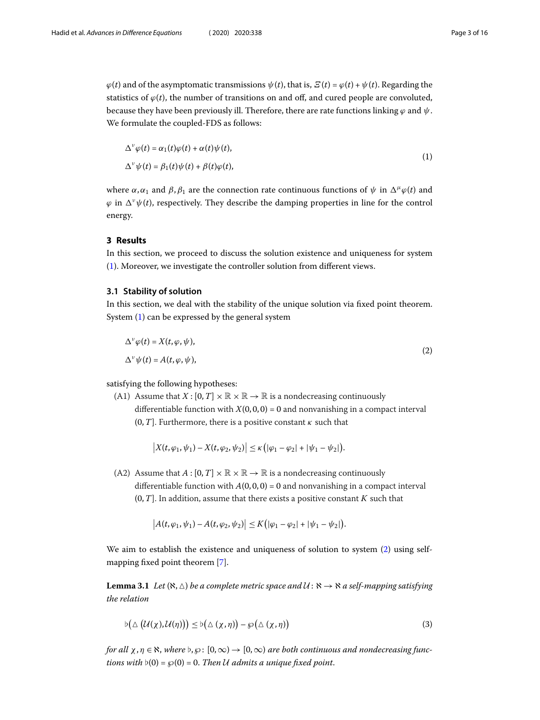$\varphi(t)$  and of the asymptomatic transmissions  $\psi(t)$ , that is,  $\mathcal{E}(t) = \varphi(t) + \psi(t)$ . Regarding the statistics of  $\varphi(t)$ , the number of transitions on and off, and cured people are convoluted, because they have been previously ill. Therefore, there are rate functions linking  $\varphi$  and  $\psi$ . We formulate the coupled-FDS as follows:

<span id="page-2-0"></span>
$$
\Delta^{\nu}\varphi(t) = \alpha_1(t)\varphi(t) + \alpha(t)\psi(t),
$$
  
\n
$$
\Delta^{\nu}\psi(t) = \beta_1(t)\psi(t) + \beta(t)\varphi(t),
$$
\n(1)

where  $\alpha, \alpha_1$  and  $\beta, \beta_1$  are the connection rate continuous functions of  $\psi$  in  $\Delta^{\mu} \varphi(t)$  and  $\varphi$  in  $\Delta^{\nu}\psi(t)$ , respectively. They describe the damping properties in line for the control energy.

# **3 Results**

In this section, we proceed to discuss the solution existence and uniqueness for system ([1\)](#page-2-0). Moreover, we investigate the controller solution from different views.

### **3.1 Stability of solution**

In this section, we deal with the stability of the unique solution via fixed point theorem. System [\(1\)](#page-2-0) can be expressed by the general system

<span id="page-2-1"></span>
$$
\Delta^{\nu}\varphi(t) = X(t, \varphi, \psi),
$$
  
\n
$$
\Delta^{\nu}\psi(t) = A(t, \varphi, \psi),
$$
\n(2)

satisfying the following hypotheses:

(A1) Assume that  $X : [0, T] \times \mathbb{R} \times \mathbb{R} \rightarrow \mathbb{R}$  is a nondecreasing continuously differentiable function with  $X(0, 0, 0) = 0$  and nonvanishing in a compact interval  $(0, T]$ . Furthermore, there is a positive constant  $\kappa$  such that

$$
\big|X(t,\varphi_1,\psi_1)-X(t,\varphi_2,\psi_2)\big|\leq \kappa\big(|\varphi_1-\varphi_2|+|\psi_1-\psi_2|\big).
$$

(A2) Assume that  $A : [0, T] \times \mathbb{R} \times \mathbb{R} \rightarrow \mathbb{R}$  is a nondecreasing continuously differentiable function with  $A(0, 0, 0) = 0$  and nonvanishing in a compact interval  $(0, T]$ . In addition, assume that there exists a positive constant K such that

$$
|A(t,\varphi_1,\psi_1)-A(t,\varphi_2,\psi_2)|\leq K(|\varphi_1-\varphi_2|+|\psi_1-\psi_2|).
$$

<span id="page-2-2"></span>We aim to establish the existence and uniqueness of solution to system [\(2](#page-2-1)) using selfmapping fixed point theorem[[7\]](#page-15-1).

**Lemma 3.1** Let  $(\aleph, \triangle)$  be a complete metric space and  $U : \aleph \to \aleph$  a self-mapping satisfying the relation

$$
\flat\big(\triangle(\mathcal{U}(\chi),\mathcal{U}(\eta))\big) \leq \flat\big(\triangle(\chi,\eta)\big) - \wp\big(\triangle(\chi,\eta)\big) \tag{3}
$$

for all  $\chi, \eta \in \aleph$ , where  $\flat, \wp$ :  $[0,\infty) \to [0,\infty)$  are both continuous and nondecreasing functions with  $\nu(0) = \wp(0) = 0$ . Then U admits a unique fixed point.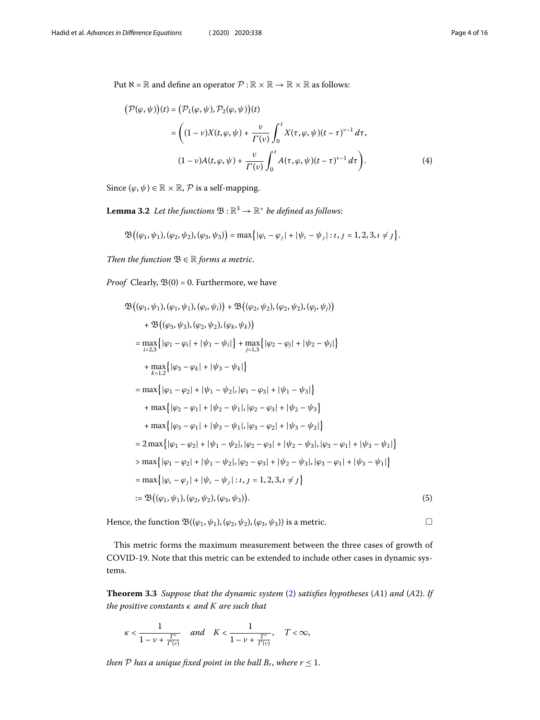Put  $\aleph = \mathbb{R}$  and define an operator  $\mathcal{P} : \mathbb{R} \times \mathbb{R} \to \mathbb{R} \times \mathbb{R}$  as follows:

<span id="page-3-0"></span>
$$
(\mathcal{P}(\varphi, \psi))(t) = (\mathcal{P}_1(\varphi, \psi), \mathcal{P}_2(\varphi, \psi))(t)
$$
  

$$
= \left((1 - \nu)X(t, \varphi, \psi) + \frac{\nu}{\Gamma(\nu)} \int_0^t X(\tau, \varphi, \psi)(t - \tau)^{\nu - 1} d\tau, \right. (1 - \nu)A(t, \varphi, \psi) + \frac{\nu}{\Gamma(\nu)} \int_0^t A(\tau, \varphi, \psi)(t - \tau)^{\nu - 1} d\tau\right).
$$
 (4)

Since  $(\varphi, \psi) \in \mathbb{R} \times \mathbb{R}$ ,  $\mathcal{P}$  is a self-mapping.

**Lemma 3.2** Let the functions  $\mathfrak{B} : \mathbb{R}^3 \to \mathbb{R}^+$  be defined as follows:

$$
\mathfrak{B}((\varphi_1,\psi_1),(\varphi_2,\psi_2),(\varphi_3,\psi_3)) = \max\big\{|\varphi_i - \varphi_j| + |\psi_i - \psi_j| : i, j = 1,2,3, i \neq j\big\}.
$$

Then the function  $\mathfrak{B} \in \mathbb{R}$  forms a metric.

*Proof* Clearly,  $\mathfrak{B}(0) = 0$ . Furthermore, we have

$$
\mathfrak{B}((\varphi_1, \psi_1), (\varphi_1, \psi_1), (\varphi_i, \psi_i)) + \mathfrak{B}((\varphi_2, \psi_2), (\varphi_2, \psi_2), (\varphi_i, \psi_i))
$$
  
+ 
$$
\mathfrak{B}((\varphi_3, \psi_3), (\varphi_2, \psi_2), (\varphi_k, \psi_k))
$$
  
= 
$$
\max_{i=2,3} \{ |\varphi_1 - \varphi_i| + |\psi_1 - \psi_i| \} + \max_{j=1,3} \{ |\varphi_2 - \varphi_j| + |\psi_2 - \psi_j| \}
$$
  
+ 
$$
\max_{k=1,2} \{ |\varphi_3 - \varphi_k| + |\psi_3 - \psi_k| \}
$$
  
= 
$$
\max \{ |\varphi_1 - \varphi_2| + |\psi_1 - \psi_2|, |\varphi_1 - \varphi_3| + |\psi_1 - \psi_3| \}
$$
  
+ 
$$
\max \{ |\varphi_2 - \varphi_1| + |\psi_2 - \psi_1|, |\varphi_2 - \varphi_3| + |\psi_2 - \psi_3| \}
$$
  
+ 
$$
\max \{ |\varphi_3 - \varphi_1| + |\psi_3 - \psi_1|, |\varphi_3 - \varphi_2| + |\psi_3 - \psi_2| \}
$$
  
= 
$$
2 \max \{ |\varphi_1 - \varphi_2| + |\psi_1 - \psi_2|, |\varphi_2 - \varphi_3| + |\psi_2 - \psi_3|, |\varphi_3 - \varphi_1| + |\psi_3 - \psi_1| \}
$$
  
> 
$$
\max \{ |\varphi_1 - \varphi_2| + |\psi_1 - \psi_2|, |\varphi_2 - \varphi_3| + |\psi_2 - \psi_3|, |\varphi_3 - \varphi_1| + |\psi_3 - \psi_1| \}
$$
  
= 
$$
\max \{ |\varphi_1 - \varphi_1| + |\psi_1 - \psi_1| : i, j = 1, 2, 3, i \neq j \}
$$
  
:= 
$$
\mathfrak{B}((\varphi_1, \psi_1), (\varphi_2, \psi_2), (\varphi_3, \psi_3)).
$$
 (5)

<span id="page-3-1"></span>Hence, the function  $\mathfrak{B}((\varphi_1, \psi_1), (\varphi_2, \psi_2), (\varphi_3, \psi_3))$  is a metric.

This metric forms the maximum measurement between the three cases of growth of COVID-19. Note that this metric can be extended to include other cases in dynamic systems.

**Theorem 3.3** Suppose that the dynamic system [\(2](#page-2-1)) satisfies hypotheses (A1) and (A2). If the positive constants  $\kappa$  and  $K$  are such that

$$
\kappa<\frac{1}{1-\nu+\frac{T^{\nu}}{\varGamma(\nu)}}\quad and \quad K<\frac{1}{1-\nu+\frac{T^{\nu}}{\varGamma(\nu)}},\quad T<\infty,
$$

then  ${\mathcal P}$  has a unique fixed point in the ball  $B_r$ , where  $r\leq 1$ .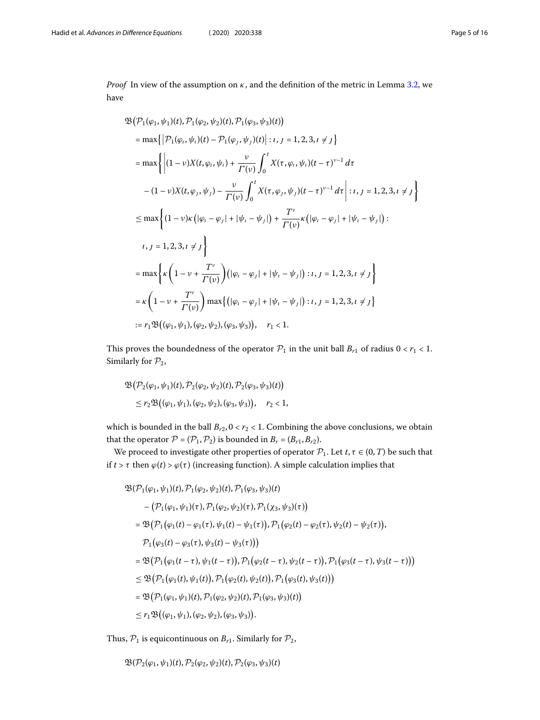*Proof* In view of the assumption on  $\kappa$ , and the definition of the metric in Lemma [3.2](#page-3-0), we have

$$
\mathfrak{B}(\mathcal{P}_{1}(\varphi_{1}, \psi_{1})(t), \mathcal{P}_{1}(\varphi_{2}, \psi_{2})(t), \mathcal{P}_{1}(\varphi_{3}, \psi_{3})(t))
$$
\n
$$
= \max \{ |\mathcal{P}_{1}(\varphi_{i}, \psi_{i})(t) - \mathcal{P}_{1}(\varphi_{j}, \psi_{j})(t)| : i, j = 1, 2, 3, i \neq j \}
$$
\n
$$
= \max \{ |(1 - \nu)X(t, \varphi_{i}, \psi_{i}) + \frac{\nu}{\Gamma(\nu)} \int_{0}^{t} X(\tau, \varphi_{i}, \psi_{i})(t - \tau)^{\nu - 1} d\tau
$$
\n
$$
-(1 - \nu)X(t, \varphi_{j}, \psi_{j}) - \frac{\nu}{\Gamma(\nu)} \int_{0}^{t} X(\tau, \varphi_{j}, \psi_{j})(t - \tau)^{\nu - 1} d\tau | : i, j = 1, 2, 3, i \neq j \}
$$
\n
$$
\leq \max \{ (1 - \nu) \kappa (|\varphi_{i} - \varphi_{j}| + |\psi_{i} - \psi_{j}|) + \frac{T^{\nu}}{\Gamma(\nu)} \kappa (|\varphi_{i} - \varphi_{j}| + |\psi_{i} - \psi_{j}|) :
$$
\n
$$
i, j = 1, 2, 3, i \neq j \}
$$
\n
$$
= \max \{ \kappa \left( 1 - \nu + \frac{T^{\nu}}{\Gamma(\nu)} \right) (|\varphi_{i} - \varphi_{j}| + |\psi_{i} - \psi_{j}|) : i, j = 1, 2, 3, i \neq j \}
$$
\n
$$
= \kappa \left( 1 - \nu + \frac{T^{\nu}}{\Gamma(\nu)} \right) \max \{ (|\varphi_{i} - \varphi_{j}| + |\psi_{i} - \psi_{j}|) : i, j = 1, 2, 3, i \neq j \}
$$
\n
$$
:= r_{1} \mathfrak{B}((\varphi_{1}, \psi_{1}), (\varphi_{2}, \psi_{2}), (\varphi_{3}, \psi_{3})), \quad r_{1} < 1.
$$

This proves the boundedness of the operator  $P_1$  in the unit ball  $B_{r1}$  of radius  $0 < r_1 < 1$ . Similarly for  $\mathcal{P}_2$ ,

$$
\mathfrak{B}(\mathcal{P}_2(\varphi_1, \psi_1)(t), \mathcal{P}_2(\varphi_2, \psi_2)(t), \mathcal{P}_2(\varphi_3, \psi_3)(t))
$$
  
 
$$
\leq r_2 \mathfrak{B}((\varphi_1, \psi_1), (\varphi_2, \psi_2), (\varphi_3, \psi_3)), \quad r_2 < 1,
$$

which is bounded in the ball  $B_{r2}$ ,  $0 < r_2 < 1$ . Combining the above conclusions, we obtain that the operator  $P = (P_1, P_2)$  is bounded in  $B_r = (B_{r1}, B_{r2})$ .

We proceed to investigate other properties of operator  $P_1$ . Let  $t, \tau \in (0, T)$  be such that if  $t > \tau$  then  $\varphi(t) > \varphi(\tau)$  (increasing function). A simple calculation implies that

$$
\mathfrak{B}(\mathcal{P}_{1}(\varphi_{1},\psi_{1})(t),\mathcal{P}_{1}(\varphi_{2},\psi_{2})(t),\mathcal{P}_{1}(\varphi_{3},\psi_{3})(t)
$$
\n
$$
-(\mathcal{P}_{1}(\varphi_{1},\psi_{1})(\tau),\mathcal{P}_{1}(\varphi_{2},\psi_{2})(\tau),\mathcal{P}_{1}(\chi_{3},\psi_{3})(\tau))
$$
\n
$$
=\mathfrak{B}(\mathcal{P}_{1}(\varphi_{1}(t)-\varphi_{1}(\tau),\psi_{1}(t)-\psi_{1}(\tau)),\mathcal{P}_{1}(\varphi_{2}(t)-\varphi_{2}(\tau),\psi_{2}(t)-\psi_{2}(\tau)),
$$
\n
$$
\mathcal{P}_{1}(\varphi_{3}(t)-\varphi_{3}(\tau),\psi_{3}(t)-\psi_{3}(\tau)))
$$
\n
$$
=\mathfrak{B}(\mathcal{P}_{1}(\varphi_{1}(t-\tau),\psi_{1}(t-\tau)),\mathcal{P}_{1}(\varphi_{2}(t-\tau),\psi_{2}(t-\tau)),\mathcal{P}_{1}(\varphi_{3}(t-\tau),\psi_{3}(t-\tau)))
$$
\n
$$
\leq \mathfrak{B}(\mathcal{P}_{1}(\varphi_{1}(t),\psi_{1}(t)),\mathcal{P}_{1}(\varphi_{2}(t),\psi_{2}(t)),\mathcal{P}_{1}(\varphi_{3}(t),\psi_{3}(t)))
$$
\n
$$
=\mathfrak{B}(\mathcal{P}_{1}(\varphi_{1},\psi_{1})(t),\mathcal{P}_{1}(\varphi_{2},\psi_{2})(t),\mathcal{P}_{1}(\varphi_{3},\psi_{3})(t))
$$
\n
$$
\leq r_{1}\mathfrak{B}((\varphi_{1},\psi_{1}),(\varphi_{2},\psi_{2}),(\varphi_{3},\psi_{3})).
$$

Thus,  $P_1$  is equicontinuous on  $B_{r1}$ . Similarly for  $P_2$ ,

$$
\mathfrak{B}(\mathcal{P}_2(\varphi_1,\psi_1)(t),\mathcal{P}_2(\varphi_2,\psi_2)(t),\mathcal{P}_2(\varphi_3,\psi_3)(t)
$$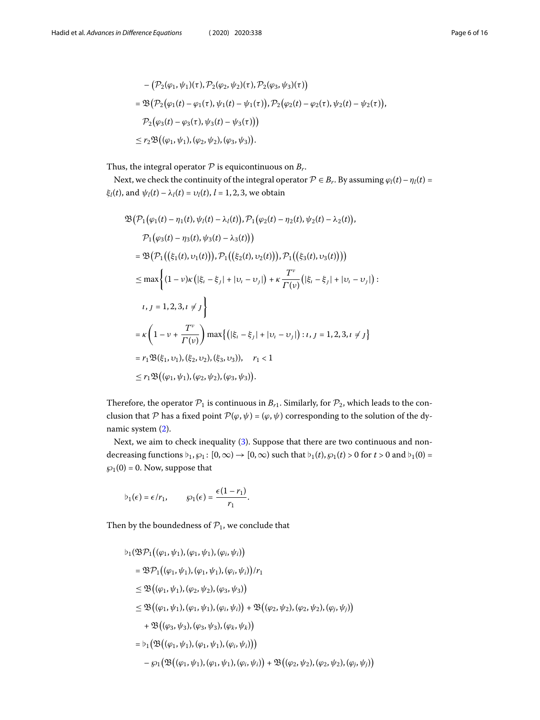$$
- (\mathcal{P}_2(\varphi_1, \psi_1)(\tau), \mathcal{P}_2(\varphi_2, \psi_2)(\tau), \mathcal{P}_2(\varphi_3, \psi_3)(\tau))
$$
  
=  $\mathfrak{B}(\mathcal{P}_2(\varphi_1(t) - \varphi_1(\tau), \psi_1(t) - \psi_1(\tau)), \mathcal{P}_2(\varphi_2(t) - \varphi_2(\tau), \psi_2(t) - \psi_2(\tau)),$   
 $\mathcal{P}_2(\varphi_3(t) - \varphi_3(\tau), \psi_3(t) - \psi_3(\tau)))$   
 $\leq r_2 \mathfrak{B}((\varphi_1, \psi_1), (\varphi_2, \psi_2), (\varphi_3, \psi_3)).$ 

Thus, the integral operator  $\mathcal P$  is equicontinuous on  $B_r$ .

Next, we check the continuity of the integral operator  $P \in B_r$ . By assuming  $\varphi_l(t) - \eta_l(t) =$  $\xi_l(t)$ , and  $\psi_l(t) - \lambda_l(t) = v_l(t)$ ,  $l = 1, 2, 3$ , we obtain

$$
\mathfrak{B}(\mathcal{P}_{1}(\varphi_{1}(t)-\eta_{1}(t),\psi_{l}(t)-\lambda_{l}(t)),\mathcal{P}_{1}(\varphi_{2}(t)-\eta_{2}(t),\psi_{2}(t)-\lambda_{2}(t)),
$$
\n
$$
\mathcal{P}_{1}(\varphi_{3}(t)-\eta_{3}(t),\psi_{3}(t)-\lambda_{3}(t)))
$$
\n
$$
= \mathfrak{B}(\mathcal{P}_{1}((\xi_{1}(t),\nu_{1}(t))),\mathcal{P}_{1}((\xi_{2}(t),\nu_{2}(t))),\mathcal{P}_{1}((\xi_{3}(t),\nu_{3}(t))))
$$
\n
$$
\leq \max\left\{(1-\nu)\kappa\left(|\xi_{l}-\xi_{l}|+|\nu_{l}-\nu_{l}|\right)+\kappa\frac{T^{\nu}}{T(\nu)}\left(|\xi_{l}-\xi_{l}|+|\nu_{l}-\nu_{l}|\right):
$$
\n
$$
i,j=1,2,3,i\neq j\right\}
$$
\n
$$
= \kappa\left(1-\nu+\frac{T^{\nu}}{T(\nu)}\right)\max\left\{\left(|\xi_{l}-\xi_{j}|+|\nu_{l}-\nu_{j}|\right):i,j=1,2,3,i\neq j\right\}
$$
\n
$$
= r_{1}\mathfrak{B}(\xi_{1},\nu_{1}),(\xi_{2},\nu_{2}),(\xi_{3},\nu_{3})), r_{1} < 1
$$
\n
$$
\leq r_{1}\mathfrak{B}((\varphi_{1},\psi_{1}),(\varphi_{2},\psi_{2}),(\varphi_{3},\psi_{3})).
$$

Therefore, the operator  $P_1$  is continuous in  $B_{r1}$ . Similarly, for  $P_2$ , which leads to the conclusion that P has a fixed point  $\mathcal{P}(\varphi, \psi) = (\varphi, \psi)$  corresponding to the solution of the dynamic system [\(2](#page-2-1)).

Next, we aim to check inequality([3\)](#page-2-2). Suppose that there are two continuous and nondecreasing functions  $\flat_1, \wp_1$ :  $[0, \infty) \to [0, \infty)$  such that  $\flat_1(t), \wp_1(t) > 0$  for  $t > 0$  and  $\flat_1(0) =$  $\wp_1(0) = 0$ . Now, suppose that

$$
b_1(\epsilon) = \epsilon/r_1, \qquad \wp_1(\epsilon) = \frac{\epsilon(1-r_1)}{r_1}.
$$

Then by the boundedness of  $P_1$ , we conclude that

$$
b_1(\mathfrak{B} \mathcal{P}_1((\varphi_1, \psi_1), (\varphi_1, \psi_1), (\varphi_i, \psi_i))
$$
  
\n
$$
= \mathfrak{B} \mathcal{P}_1((\varphi_1, \psi_1), (\varphi_1, \psi_1), (\varphi_i, \psi_i))/r_1
$$
  
\n
$$
\leq \mathfrak{B}((\varphi_1, \psi_1), (\varphi_2, \psi_2), (\varphi_3, \psi_3))
$$
  
\n
$$
\leq \mathfrak{B}((\varphi_1, \psi_1), (\varphi_1, \psi_1), (\varphi_i, \psi_i)) + \mathfrak{B}((\varphi_2, \psi_2), (\varphi_2, \psi_2), (\varphi_i, \psi_i))
$$
  
\n
$$
+ \mathfrak{B}((\varphi_3, \psi_3), (\varphi_3, \psi_3), (\varphi_k, \psi_k))
$$
  
\n
$$
= b_1(\mathfrak{B}((\varphi_1, \psi_1), (\varphi_1, \psi_1), (\varphi_i, \psi_i)))
$$
  
\n
$$
- \varphi_1(\mathfrak{B}((\varphi_1, \psi_1), (\varphi_1, \psi_1), (\varphi_i, \psi_i)) + \mathfrak{B}((\varphi_2, \psi_2), (\varphi_2, \psi_2), (\varphi_i, \psi_i))
$$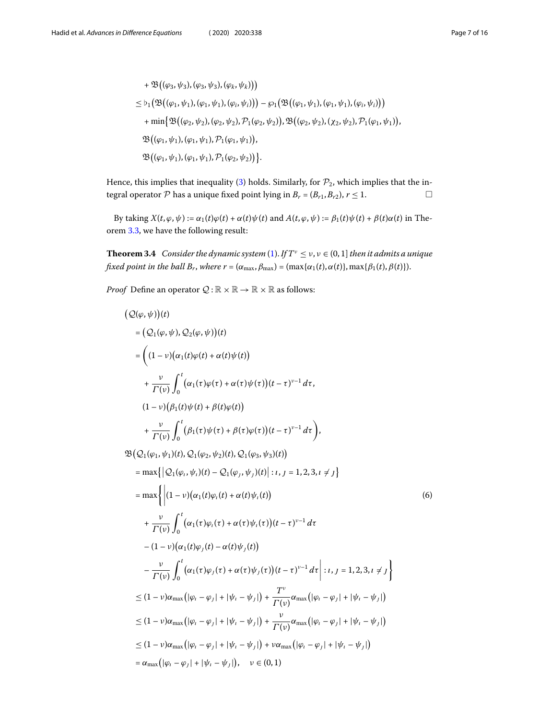+ 
$$
\mathfrak{B}((\varphi_3, \psi_3), (\varphi_3, \psi_3), (\varphi_k, \psi_k)))
$$
  
\n $\leq b_1 \big( \mathfrak{B}((\varphi_1, \psi_1), (\varphi_1, \psi_1), (\varphi_i, \psi_i)) \big) - \wp_1 \big( \mathfrak{B}((\varphi_1, \psi_1), (\varphi_1, \psi_1), (\varphi_i, \psi_i)) \big)$   
\n+ min{ $\mathfrak{B}((\varphi_2, \psi_2), (\varphi_2, \psi_2), \mathcal{P}_1(\varphi_2, \psi_2))$ ,  $\mathfrak{B}((\varphi_2, \psi_2), (\chi_2, \psi_2), \mathcal{P}_1(\varphi_1, \psi_1))$ ,  
\n $\mathfrak{B}((\varphi_1, \psi_1), (\varphi_1, \psi_1), \mathcal{P}_1(\varphi_1, \psi_1))$ ,  
\n $\mathfrak{B}((\varphi_1, \psi_1), (\varphi_1, \psi_1), \mathcal{P}_1(\varphi_2, \psi_2))$  }.

<span id="page-6-0"></span>Hence, this implies that inequality [\(3](#page-2-2)) holds. Similarly, for  $P_2$ , which implies that the integral operator  $P$  has a unique fixed point lying in  $B_r = (B_{r1}, B_{r2}), r \le 1.$ 

By taking  $X(t, \varphi, \psi) := \alpha_1(t)\varphi(t) + \alpha(t)\psi(t)$  and  $A(t, \varphi, \psi) := \beta_1(t)\psi(t) + \beta(t)\alpha(t)$  in Theorem [3.3](#page-3-1), we have the following result:

**Theorem 3.4** Consider the dynamic system [\(1](#page-2-0)). If  $T^{\nu} \le \nu$ ,  $\nu \in (0, 1]$  then it admits a unique fixed point in the ball  $B_r$ , where  $r = (\alpha_{\max}, \beta_{\max}) = (\max{\{\alpha_1(t), \alpha(t)\}}, \max{\{\beta_1(t), \beta(t)\}}).$ 

*Proof* Define an operator  $Q : \mathbb{R} \times \mathbb{R} \to \mathbb{R} \times \mathbb{R}$  as follows:

$$
(Q(\varphi, \psi))(t)
$$
\n
$$
= (Q_{1}(\varphi, \psi), Q_{2}(\varphi, \psi))(t)
$$
\n
$$
= ((1 - v)(\alpha_{1}(t)\varphi(t) + \alpha(t)\psi(t)) + \frac{v}{\Gamma(v)}\int_{0}^{t} (\alpha_{1}(\tau)\varphi(\tau) + \alpha(\tau)\psi(\tau))(t - \tau)^{v-1} d\tau,
$$
\n
$$
(1 - v)(\beta_{1}(t)\psi(t) + \beta(t)\varphi(t)) + \frac{v}{\Gamma(v)}\int_{0}^{t} (\beta_{1}(\tau)\psi(\tau) + \beta(\tau)\varphi(\tau))(t - \tau)^{v-1} d\tau),
$$
\n
$$
\mathfrak{B}(Q_{1}(\varphi_{1}, \psi_{1})(t), Q_{1}(\varphi_{2}, \psi_{2})(t), Q_{1}(\varphi_{3}, \psi_{3})(t))
$$
\n
$$
= \max\{|Q_{1}(\varphi_{1}, \psi_{1})(t) - Q_{1}(\varphi_{1}, \psi_{1})(t)| : t, j = 1, 2, 3, t \neq j\}
$$
\n
$$
= \max\{|(1 - v)(\alpha_{1}(t)\varphi_{1}(t) + \alpha(t)\psi_{1}(t))| : t = 1, 2, 3, t \neq j\}
$$
\n
$$
= \max\{|(1 - v)(\alpha_{1}(t)\varphi_{1}(t) + \alpha(\tau)\psi_{1}(t))| + \frac{v}{\Gamma(v)}\int_{0}^{t} (\alpha_{1}(\tau)\varphi_{1}(\tau) + \alpha(\tau)\psi_{1}(\tau))(t - \tau)^{v-1} d\tau| : t = 1, 2, 3, t \neq j\}
$$
\n
$$
\leq (1 - v)\alpha_{\max}(|\varphi_{1} - \varphi_{1}| + |\psi_{1} - \psi_{1}|) + \frac{T^{v}}{\Gamma(v)}\alpha_{\max}(|\varphi_{1} - \varphi_{1}| + |\psi_{1} - \psi_{1}|)
$$
\n
$$
\leq (1 - v)\alpha_{\max}(|\varphi_{1} - \varphi_{1}| + |\psi_{1} - \psi_{1}|) + \frac{V^{v}}{\Gamma(v)}\alpha_{\max}(|\varphi_{1} - \varphi_{1}| + |\psi_{1} - \psi_{1}|)
$$
\n
$$
\leq (1 - v)\alpha_{\max}(|\varphi
$$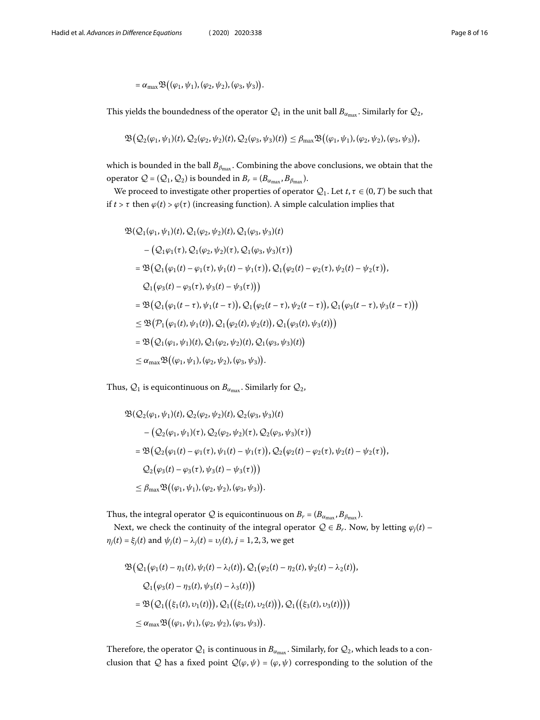$$
= \alpha_{\max} \mathfrak{B}\big((\varphi_1,\psi_1),(\varphi_2,\psi_2),(\varphi_3,\psi_3)\big).
$$

This yields the boundedness of the operator  $\mathcal{Q}_1$  in the unit ball  $B_{\alpha_{\text{max}}}$ . Similarly for  $\mathcal{Q}_2$ ,

$$
\mathfrak{B}\big(\mathcal{Q}_2(\varphi_1,\psi_1)(t),\mathcal{Q}_2(\varphi_2,\psi_2)(t),\mathcal{Q}_2(\varphi_3,\psi_3)(t)\big)\leq\beta_{\max}\mathfrak{B}\big((\varphi_1,\psi_1),(\varphi_2,\psi_2),(\varphi_3,\psi_3)\big),
$$

which is bounded in the ball  $B_{\beta_{\text{max}}}$ . Combining the above conclusions, we obtain that the operator  $Q = (Q_1, Q_2)$  is bounded in  $B_r = (B_{\alpha_{\text{max}}}, B_{\beta_{\text{max}}})$ .

We proceed to investigate other properties of operator  $Q_1$ . Let  $t, \tau \in (0, T)$  be such that if  $t > \tau$  then  $\varphi(t) > \varphi(\tau)$  (increasing function). A simple calculation implies that

$$
\mathfrak{B}(\mathcal{Q}_{1}(\varphi_{1}, \psi_{1})(t), \mathcal{Q}_{1}(\varphi_{2}, \psi_{2})(t), \mathcal{Q}_{1}(\varphi_{3}, \psi_{3})(t) \n- (\mathcal{Q}_{1}\varphi_{1}(\tau), \mathcal{Q}_{1}(\varphi_{2}, \psi_{2})(\tau), \mathcal{Q}_{1}(\varphi_{3}, \psi_{3})(\tau)) \n= \mathfrak{B}(\mathcal{Q}_{1}(\varphi_{1}(t) - \varphi_{1}(\tau), \psi_{1}(t) - \psi_{1}(\tau)), \mathcal{Q}_{1}(\varphi_{2}(t) - \varphi_{2}(\tau), \psi_{2}(t) - \psi_{2}(\tau)), \n\mathcal{Q}_{1}(\varphi_{3}(t) - \varphi_{3}(\tau), \psi_{3}(t) - \psi_{3}(\tau))) \n= \mathfrak{B}(\mathcal{Q}_{1}(\varphi_{1}(t-\tau), \psi_{1}(t-\tau)), \mathcal{Q}_{1}(\varphi_{2}(t-\tau), \psi_{2}(t-\tau)), \mathcal{Q}_{1}(\varphi_{3}(t-\tau), \psi_{3}(t-\tau))) \n\leq \mathfrak{B}(\mathcal{P}_{1}(\varphi_{1}(t), \psi_{1}(t)), \mathcal{Q}_{1}(\varphi_{2}(t), \psi_{2}(t)), \mathcal{Q}_{1}(\varphi_{3}(t), \psi_{3}(t))) \n= \mathfrak{B}(\mathcal{Q}_{1}(\varphi_{1}, \psi_{1})(t), \mathcal{Q}_{1}(\varphi_{2}, \psi_{2})(t), \mathcal{Q}_{1}(\varphi_{3}, \psi_{3})(t)) \n\leq \alpha_{\max} \mathfrak{B}((\varphi_{1}, \psi_{1}), (\varphi_{2}, \psi_{2}), (\varphi_{3}, \psi_{3})).
$$

Thus,  $Q_1$  is equicontinuous on  $B_{\alpha_{\text{max}}}$ . Similarly for  $Q_2$ ,

$$
\mathfrak{B}(\mathcal{Q}_2(\varphi_1, \psi_1)(t), \mathcal{Q}_2(\varphi_2, \psi_2)(t), \mathcal{Q}_2(\varphi_3, \psi_3)(t) \n- (\mathcal{Q}_2(\varphi_1, \psi_1)(\tau), \mathcal{Q}_2(\varphi_2, \psi_2)(\tau), \mathcal{Q}_2(\varphi_3, \psi_3)(\tau)) \n= \mathfrak{B}(\mathcal{Q}_2(\varphi_1(t) - \varphi_1(\tau), \psi_1(t) - \psi_1(\tau)), \mathcal{Q}_2(\varphi_2(t) - \varphi_2(\tau), \psi_2(t) - \psi_2(\tau)), \n\mathcal{Q}_2(\varphi_3(t) - \varphi_3(\tau), \psi_3(t) - \psi_3(\tau)) \n\leq \beta_{\text{max}} \mathfrak{B}((\varphi_1, \psi_1), (\varphi_2, \psi_2), (\varphi_3, \psi_3)).
$$

Thus, the integral operator  $Q$  is equicontinuous on  $B_r = (B_{\alpha_{\text{max}}}, B_{\beta_{\text{max}}})$ .

Next, we check the continuity of the integral operator  $Q \in B_r$ . Now, by letting  $\varphi_j(t)$  –  $\eta_j(t) = \xi_j(t)$  and  $\psi_j(t) - \lambda_j(t) = \nu_j(t)$ ,  $j = 1, 2, 3$ , we get

$$
\mathfrak{B}(\mathcal{Q}_1(\varphi_1(t) - \eta_1(t), \psi_1(t) - \lambda_1(t)), \mathcal{Q}_1(\varphi_2(t) - \eta_2(t), \psi_2(t) - \lambda_2(t)),
$$
  

$$
\mathcal{Q}_1(\varphi_3(t) - \eta_3(t), \psi_3(t) - \lambda_3(t)))
$$
  

$$
= \mathfrak{B}(\mathcal{Q}_1((\xi_1(t), \nu_1(t))), \mathcal{Q}_1((\xi_2(t), \nu_2(t))), \mathcal{Q}_1((\xi_3(t), \nu_3(t))))
$$
  

$$
\leq \alpha_{\max} \mathfrak{B}((\varphi_1, \psi_1), (\varphi_2, \psi_2), (\varphi_3, \psi_3)).
$$

Therefore, the operator  $\mathcal{Q}_1$  is continuous in  $B_{\alpha_{\text{max}}}$ . Similarly, for  $\mathcal{Q}_2$ , which leads to a conclusion that Q has a fixed point  $\mathcal{Q}(\varphi, \psi) = (\varphi, \psi)$  corresponding to the solution of the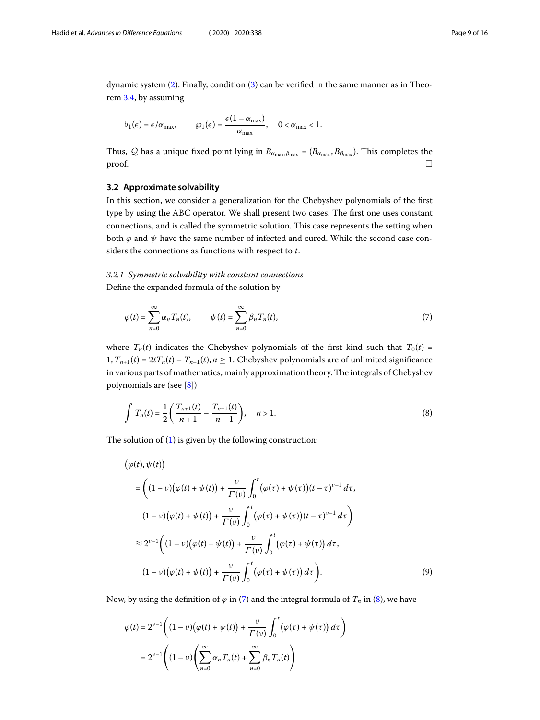dynamic system [\(2](#page-2-1)). Finally, condition([3](#page-2-2)) can be verified in the same manner as in Theorem [3.4](#page-6-0), by assuming

$$
b_1(\epsilon) = \epsilon/\alpha_{\max}, \qquad \wp_1(\epsilon) = \frac{\epsilon(1-\alpha_{\max})}{\alpha_{\max}}, \quad 0 < \alpha_{\max} < 1.
$$

Thus, Q has a unique fixed point lying in  $B_{\alpha_{\text{max}},\beta_{\text{max}}} = (B_{\alpha_{\text{max}},B_{\beta_{\text{max}}}})$ . This completes the  $\Box$ 

## **3.2 Approximate solvability**

In this section, we consider a generalization for the Chebyshev polynomials of the first type by using the ABC operator. We shall present two cases. The first one uses constant connections, and is called the symmetric solution. This case represents the setting when both  $\varphi$  and  $\psi$  have the same number of infected and cured. While the second case considers the connections as functions with respect to t.

# 3.2.1 Symmetric solvability with constant connections

Define the expanded formula of the solution by

<span id="page-8-1"></span><span id="page-8-0"></span>
$$
\varphi(t) = \sum_{n=0}^{\infty} \alpha_n T_n(t), \qquad \psi(t) = \sum_{n=0}^{\infty} \beta_n T_n(t), \tag{7}
$$

where  $T_n(t)$  indicates the Chebyshev polynomials of the first kind such that  $T_0(t)$  =  $1, T_{n+1}(t) = 2tT_n(t) - T_{n-1}(t)$ ,  $n \ge 1$ . Chebyshev polynomials are of unlimited significance in various parts of mathematics, mainly approximation theory. The integrals of Chebyshev polynomials are (see [\[8](#page-15-2)])

$$
\int T_n(t) = \frac{1}{2} \left( \frac{T_{n+1}(t)}{n+1} - \frac{T_{n-1}(t)}{n-1} \right), \quad n > 1.
$$
\n(8)

The solution of([1\)](#page-2-0) is given by the following construction:

$$
(\varphi(t), \psi(t))
$$
\n
$$
= \left( (1 - \nu)(\varphi(t) + \psi(t)) + \frac{\nu}{\Gamma(\nu)} \int_0^t (\varphi(\tau) + \psi(\tau))(t - \tau)^{\nu - 1} d\tau, \right.
$$
\n
$$
(1 - \nu)(\varphi(t) + \psi(t)) + \frac{\nu}{\Gamma(\nu)} \int_0^t (\varphi(\tau) + \psi(\tau))(t - \tau)^{\nu - 1} d\tau \right)
$$
\n
$$
\approx 2^{\nu - 1} \left( (1 - \nu)(\varphi(t) + \psi(t)) + \frac{\nu}{\Gamma(\nu)} \int_0^t (\varphi(\tau) + \psi(\tau)) d\tau, \right.
$$
\n
$$
(1 - \nu)(\varphi(t) + \psi(t)) + \frac{\nu}{\Gamma(\nu)} \int_0^t (\varphi(\tau) + \psi(\tau)) d\tau \right).
$$
\n(9)

Now,by using the definition of  $\varphi$  in ([7\)](#page-8-0) and the integral formula of  $T_n$  in ([8\)](#page-8-1), we have

$$
\varphi(t) = 2^{\nu-1} \left( (1 - \nu) \big( \varphi(t) + \psi(t) \big) + \frac{\nu}{\Gamma(\nu)} \int_0^t \big( \varphi(\tau) + \psi(\tau) \big) d\tau \right)
$$
  
= 
$$
2^{\nu-1} \left( (1 - \nu) \left( \sum_{n=0}^{\infty} \alpha_n T_n(t) + \sum_{n=0}^{\infty} \beta_n T_n(t) \right) \right)
$$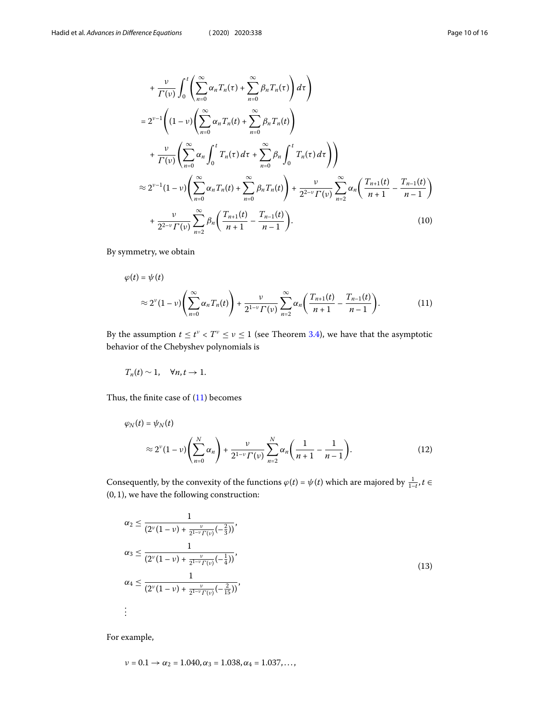$$
+\frac{\nu}{\Gamma(\nu)} \int_{0}^{t} \left( \sum_{n=0}^{\infty} \alpha_{n} T_{n}(\tau) + \sum_{n=0}^{\infty} \beta_{n} T_{n}(\tau) \right) d\tau \right)
$$
  
\n
$$
= 2^{\nu-1} \left( (1 - \nu) \left( \sum_{n=0}^{\infty} \alpha_{n} T_{n}(t) + \sum_{n=0}^{\infty} \beta_{n} T_{n}(t) \right)
$$
  
\n
$$
+\frac{\nu}{\Gamma(\nu)} \left( \sum_{n=0}^{\infty} \alpha_{n} \int_{0}^{t} T_{n}(\tau) d\tau + \sum_{n=0}^{\infty} \beta_{n} \int_{0}^{t} T_{n}(\tau) d\tau \right)
$$
  
\n
$$
\approx 2^{\nu-1} (1 - \nu) \left( \sum_{n=0}^{\infty} \alpha_{n} T_{n}(t) + \sum_{n=0}^{\infty} \beta_{n} T_{n}(t) \right) + \frac{\nu}{2^{2-\nu} \Gamma(\nu)} \sum_{n=2}^{\infty} \alpha_{n} \left( \frac{T_{n+1}(t)}{n+1} - \frac{T_{n-1}(t)}{n-1} \right)
$$
  
\n
$$
+\frac{\nu}{2^{2-\nu} \Gamma(\nu)} \sum_{n=2}^{\infty} \beta_{n} \left( \frac{T_{n+1}(t)}{n+1} - \frac{T_{n-1}(t)}{n-1} \right).
$$
 (10)

By symmetry, we obtain

<span id="page-9-0"></span>
$$
\varphi(t) = \psi(t) \n\approx 2^{\nu} (1 - \nu) \left( \sum_{n=0}^{\infty} \alpha_n T_n(t) \right) + \frac{\nu}{2^{1-\nu} \Gamma(\nu)} \sum_{n=2}^{\infty} \alpha_n \left( \frac{T_{n+1}(t)}{n+1} - \frac{T_{n-1}(t)}{n-1} \right).
$$
\n(11)

By the assumption  $t \le t^{\nu} < T^{\nu} \le \nu \le 1$  (see Theorem [3.4\)](#page-6-0), we have that the asymptotic behavior of the Chebyshev polynomials is

$$
T_n(t) \sim 1, \quad \forall n, t \to 1.
$$

Thus,the finite case of  $(11)$  $(11)$  $(11)$  becomes

$$
\varphi_N(t) = \psi_N(t)
$$
  
\n
$$
\approx 2^{\nu} (1 - \nu) \left( \sum_{n=0}^N \alpha_n \right) + \frac{\nu}{2^{1-\nu} \Gamma(\nu)} \sum_{n=2}^N \alpha_n \left( \frac{1}{n+1} - \frac{1}{n-1} \right). \tag{12}
$$

Consequently, by the convexity of the functions  $\varphi(t) = \psi(t)$  which are majored by  $\frac{1}{1-t}$ ,  $t \in$ (0, 1), we have the following construction:

$$
\alpha_2 \leq \frac{1}{(2^{\nu}(1-\nu)+\frac{\nu}{2^{1-\nu}\Gamma(\nu)}(-\frac{2}{3}))},
$$
  
\n
$$
\alpha_3 \leq \frac{1}{(2^{\nu}(1-\nu)+\frac{\nu}{2^{1-\nu}\Gamma(\nu)}(-\frac{1}{4}))},
$$
  
\n
$$
\alpha_4 \leq \frac{1}{(2^{\nu}(1-\nu)+\frac{\nu}{2^{1-\nu}\Gamma(\nu)}(-\frac{2}{15}))},
$$
  
\n
$$
\vdots
$$
 (13)

For example,

$$
\nu = 0.1 \rightarrow \alpha_2 = 1.040, \alpha_3 = 1.038, \alpha_4 = 1.037, \dots,
$$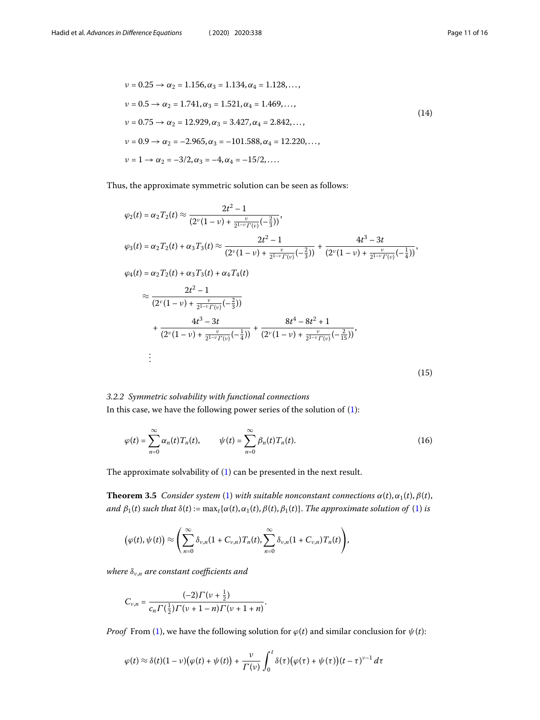$$
\nu = 0.25 \rightarrow \alpha_2 = 1.156, \alpha_3 = 1.134, \alpha_4 = 1.128, ...,
$$
  
\n
$$
\nu = 0.5 \rightarrow \alpha_2 = 1.741, \alpha_3 = 1.521, \alpha_4 = 1.469, ...,
$$
  
\n
$$
\nu = 0.75 \rightarrow \alpha_2 = 12.929, \alpha_3 = 3.427, \alpha_4 = 2.842, ...,
$$
  
\n
$$
\nu = 0.9 \rightarrow \alpha_2 = -2.965, \alpha_3 = -101.588, \alpha_4 = 12.220, ...,
$$
  
\n
$$
\nu = 1 \rightarrow \alpha_2 = -3/2, \alpha_3 = -4, \alpha_4 = -15/2, ....
$$
  
\n(14)

Thus, the approximate symmetric solution can be seen as follows:

$$
\varphi_2(t) = \alpha_2 T_2(t) \approx \frac{2t^2 - 1}{(2^{\nu}(1 - \nu) + \frac{\nu}{2^{1-\nu}\Gamma(\nu)}(-\frac{2}{3}))},
$$
  
\n
$$
\varphi_3(t) = \alpha_2 T_2(t) + \alpha_3 T_3(t) \approx \frac{2t^2 - 1}{(2^{\nu}(1 - \nu) + \frac{\nu}{2^{1-\nu}\Gamma(\nu)}(-\frac{2}{3}))} + \frac{4t^3 - 3t}{(2^{\nu}(1 - \nu) + \frac{\nu}{2^{1-\nu}\Gamma(\nu)}(-\frac{1}{4}))},
$$
  
\n
$$
\varphi_4(t) = \alpha_2 T_2(t) + \alpha_3 T_3(t) + \alpha_4 T_4(t)
$$
  
\n
$$
\approx \frac{2t^2 - 1}{(2^{\nu}(1 - \nu) + \frac{\nu}{2^{1-\nu}\Gamma(\nu)}(-\frac{2}{3}))}
$$
  
\n
$$
+ \frac{4t^3 - 3t}{(2^{\nu}(1 - \nu) + \frac{\nu}{2^{1-\nu}\Gamma(\nu)}(-\frac{1}{4}))} + \frac{8t^4 - 8t^2 + 1}{(2^{\nu}(1 - \nu) + \frac{\nu}{2^{1-\nu}\Gamma(\nu)}(-\frac{2}{15}))},
$$
  
\n
$$
\vdots
$$
  
\n(15)

# 3.2.2 Symmetric solvability with functional connections In this case, we have the following power series of the solution of([1](#page-2-0)):

$$
\varphi(t) = \sum_{n=0}^{\infty} \alpha_n(t) T_n(t), \qquad \psi(t) = \sum_{n=0}^{\infty} \beta_n(t) T_n(t).
$$
 (16)

The approximate solvability of [\(1](#page-2-0)) can be presented in the next result.

**Theorem 3.5** Consider system ([1\)](#page-2-0) with suitable nonconstant connections  $\alpha(t), \alpha_1(t), \beta(t)$ , and  $\beta_1(t)$  such that  $\delta(t) := \max_t {\alpha(t), \alpha_1(t), \beta(t), \beta_1(t)}$ . The approximate solution of ([1\)](#page-2-0) is

$$
\big(\varphi(t),\psi(t)\big)\approx\left(\sum_{n=0}^{\infty}\delta_{\nu,n}(1+C_{\nu,n})T_n(t),\sum_{n=0}^{\infty}\delta_{\nu,n}(1+C_{\nu,n})T_n(t)\right),\,
$$

where  $\delta_{v,n}$  are constant coefficients and

$$
C_{v,n} = \frac{(-2)\Gamma(v+\frac{1}{2})}{c_n \Gamma(\frac{1}{2})\Gamma(v+1-n)\Gamma(v+1+n)}.
$$

*Proof* From [\(1](#page-2-0)), we have the following solution for  $\varphi(t)$  and similar conclusion for  $\psi(t)$ :

$$
\varphi(t) \approx \delta(t)(1-\nu)\big(\varphi(t)+\psi(t)\big)+\frac{\nu}{\Gamma(\nu)}\int_0^t \delta(\tau)\big(\varphi(\tau)+\psi(\tau)\big)(t-\tau)^{\nu-1}\,d\tau
$$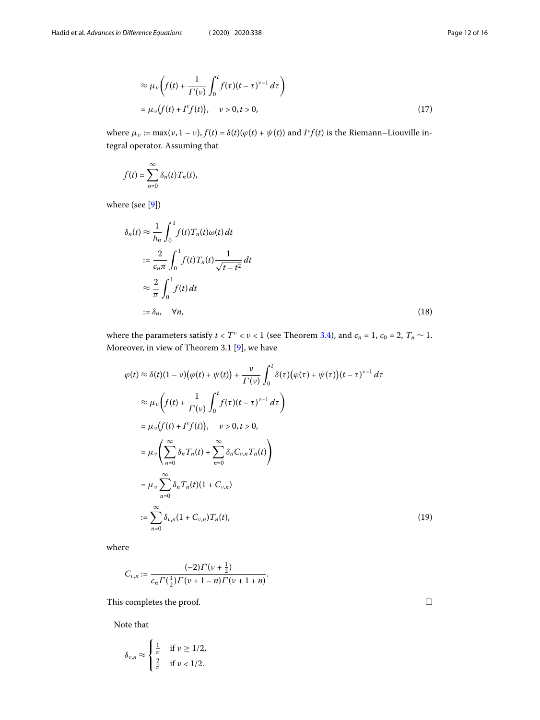$$
\approx \mu_{\nu}\left(f(t) + \frac{1}{\Gamma(\nu)}\int_0^t f(\tau)(t-\tau)^{\nu-1} d\tau\right)
$$
  
=  $\mu_{\nu}\left(f(t) + I^{\nu}f(t)\right), \quad \nu > 0, t > 0,$  (17)

where  $\mu_{\nu} := \max(\nu, 1 - \nu), f(t) = \delta(t)(\varphi(t) + \psi(t))$  and  $I^{\nu}f(t)$  is the Riemann–Liouville integral operator. Assuming that

$$
f(t)=\sum_{n=0}^{\infty}\delta_n(t)T_n(t),
$$

where (see [\[9](#page-15-3)])

$$
\delta_n(t) \approx \frac{1}{\hbar_n} \int_0^1 f(t) T_n(t) \omega(t) dt
$$
  

$$
:= \frac{2}{c_n \pi} \int_0^1 f(t) T_n(t) \frac{1}{\sqrt{t - t^2}} dt
$$
  

$$
\approx \frac{2}{\pi} \int_0^1 f(t) dt
$$
  

$$
:= \delta_n, \quad \forall n,
$$
 (18)

where the parameters satisfy  $t < T^{\nu} < \nu < 1$  (see Theorem [3.4](#page-6-0)), and  $c_n = 1$ ,  $c_0 = 2$ ,  $T_n \sim 1$ . Moreover, in view of Theorem 3.1 [\[9\]](#page-15-3), we have

$$
\varphi(t) \approx \delta(t)(1-\nu)\big(\varphi(t) + \psi(t)\big) + \frac{\nu}{\Gamma(\nu)} \int_0^t \delta(\tau)\big(\varphi(\tau) + \psi(\tau)\big)(t-\tau)^{\nu-1} d\tau
$$
  
\n
$$
\approx \mu_{\nu} \bigg(f(t) + \frac{1}{\Gamma(\nu)} \int_0^t f(\tau)(t-\tau)^{\nu-1} d\tau\bigg)
$$
  
\n
$$
= \mu_{\nu} \big(f(t) + I^{\nu}f(t)\big), \quad \nu > 0, t > 0,
$$
  
\n
$$
= \mu_{\nu} \bigg(\sum_{n=0}^{\infty} \delta_n T_n(t) + \sum_{n=0}^{\infty} \delta_n C_{\nu,n} T_n(t)\bigg)
$$
  
\n
$$
= \mu_{\nu} \sum_{n=0}^{\infty} \delta_n T_n(t)(1 + C_{\nu,n})
$$
  
\n
$$
:= \sum_{n=0}^{\infty} \delta_{\nu,n} (1 + C_{\nu,n}) T_n(t), \qquad (19)
$$

where

$$
C_{v,n} := \frac{(-2)\Gamma(v+\frac{1}{2})}{c_n \Gamma(\frac{1}{2})\Gamma(v+1-n)\Gamma(v+1+n)}.
$$

This completes the proof.  $\hfill \square$ 

Note that

$$
\delta_{\nu,n} \approx \begin{cases} \frac{1}{\pi} & \text{if } \nu \ge 1/2, \\ \frac{2}{\pi} & \text{if } \nu < 1/2. \end{cases}
$$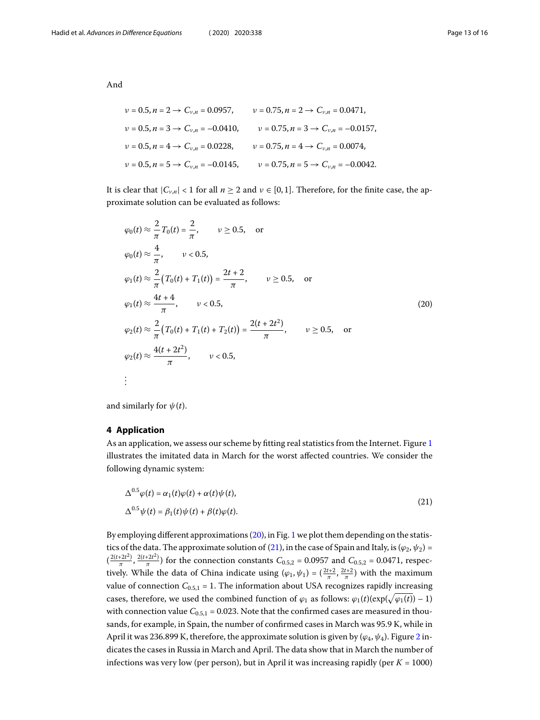And

$$
v = 0.5, n = 2 \rightarrow C_{v,n} = 0.0957, \qquad v = 0.75, n = 2 \rightarrow C_{v,n} = 0.0471,
$$
  
\n
$$
v = 0.5, n = 3 \rightarrow C_{v,n} = -0.0410, \qquad v = 0.75, n = 3 \rightarrow C_{v,n} = -0.0157,
$$
  
\n
$$
v = 0.5, n = 4 \rightarrow C_{v,n} = 0.0228, \qquad v = 0.75, n = 4 \rightarrow C_{v,n} = 0.0074,
$$
  
\n
$$
v = 0.5, n = 5 \rightarrow C_{v,n} = -0.0145, \qquad v = 0.75, n = 5 \rightarrow C_{v,n} = -0.0042.
$$

It is clear that  $|C_{\nu,n}| < 1$  for all  $n \ge 2$  and  $\nu \in [0,1]$ . Therefore, for the finite case, the approximate solution can be evaluated as follows:

<span id="page-12-0"></span>
$$
\varphi_0(t) \approx \frac{2}{\pi} T_0(t) = \frac{2}{\pi}, \qquad \nu \ge 0.5, \quad \text{or}
$$
  
\n
$$
\varphi_0(t) \approx \frac{4}{\pi}, \qquad \nu < 0.5,
$$
  
\n
$$
\varphi_1(t) \approx \frac{2}{\pi} (T_0(t) + T_1(t)) = \frac{2t + 2}{\pi}, \qquad \nu \ge 0.5, \quad \text{or}
$$
  
\n
$$
\varphi_1(t) \approx \frac{4t + 4}{\pi}, \qquad \nu < 0.5,
$$
  
\n
$$
\varphi_2(t) \approx \frac{2}{\pi} (T_0(t) + T_1(t) + T_2(t)) = \frac{2(t + 2t^2)}{\pi}, \qquad \nu \ge 0.5, \quad \text{or}
$$
  
\n
$$
\varphi_2(t) \approx \frac{4(t + 2t^2)}{\pi}, \qquad \nu < 0.5,
$$
  
\n
$$
\vdots
$$

and similarly for  $\psi(t)$ .

# **4 Application**

As an application, we assess our scheme by fitting real statistics from the Internet. Figure [1](#page-13-0) illustrates the imitated data in March for the worst affected countries. We consider the following dynamic system:

<span id="page-12-1"></span>
$$
\Delta^{0.5}\varphi(t) = \alpha_1(t)\varphi(t) + \alpha(t)\psi(t),
$$
  

$$
\Delta^{0.5}\psi(t) = \beta_1(t)\psi(t) + \beta(t)\varphi(t).
$$
\n(21)

By employing different approximations [\(20](#page-12-0)), in Fig. [1](#page-13-0) we plot them depending on the statis-ticsof the data. The approximate solution of ([21](#page-12-1)), in the case of Spain and Italy, is ( $\varphi_2, \psi_2$ ) =  $(\frac{2(t+2t^2)}{\pi}, \frac{2(t+2t^2)}{\pi})$  for the connection constants  $C_{0.5,2} = 0.0957$  and  $C_{0.5,2} = 0.0471$ , respectively. While the data of China indicate using  $(\varphi_1, \psi_1) = (\frac{2t+2}{\pi}, \frac{2t+2}{\pi})$  with the maximum value of connection  $C_{0.5,1}$  = 1. The information about USA recognizes rapidly increasing cases, therefore, we used the combined function of  $\varphi_1$  as follows:  $\varphi_1(t)(\exp(\sqrt{\varphi_1(t)}) - 1)$ with connection value  $C_{0.5,1}$  = 0.023. Note that the confirmed cases are measured in thousands, for example, in Spain, the number of confirmed cases in March was 95.9 K, while in April it was [2](#page-13-1)36.899 K, therefore, the approximate solution is given by ( $\varphi_4$ ,  $\psi_4$ ). Figure 2 indicates the cases in Russia in March and April. The data show that in March the number of infections was very low (per person), but in April it was increasing rapidly (per  $K = 1000$ )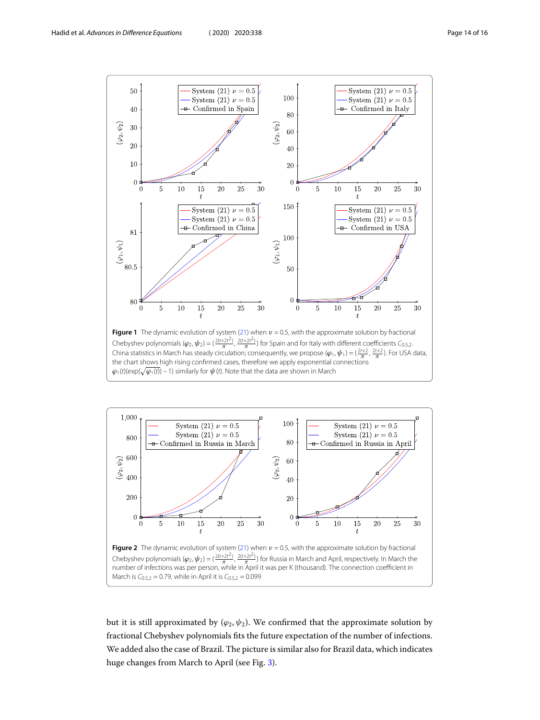

<span id="page-13-1"></span><span id="page-13-0"></span>

Chebyshev polynomials ( $\varphi_2$ ,  $\psi_2$ ) = ( $\frac{2(t+2t^2)}{\pi}$ ,  $\frac{2(t+2t^2)}{\pi}$ ) for Russia in March and April, respectively. In March the , number of infections was per person, while in April it was per K (thousand). The connection coefficient in March is  $C_{0.5,2} = 0.79$ , while in April it is  $C_{0.5,2} = 0.099$ 

but it is still approximated by  $(\varphi_2, \psi_2)$ . We confirmed that the approximate solution by fractional Chebyshev polynomials fits the future expectation of the number of infections. We added also the case of Brazil. The picture is similar also for Brazil data, which indicates huge changes from March to April (see Fig. [3](#page-14-10)).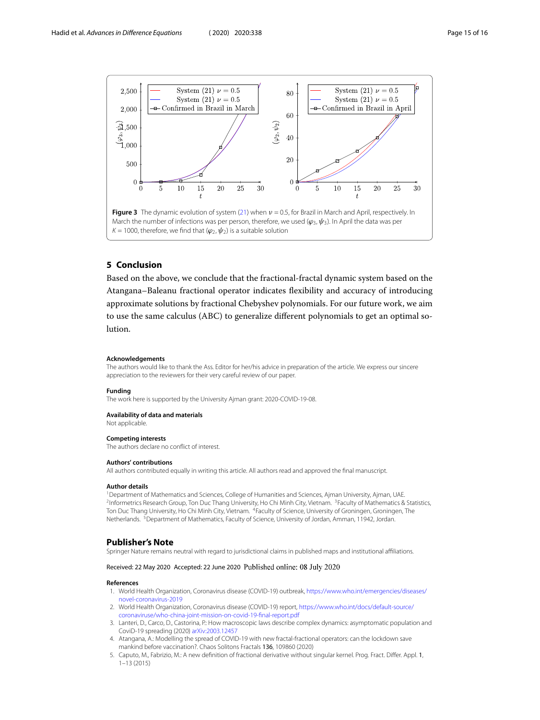<span id="page-14-10"></span>

# **5 Conclusion**

Based on the above, we conclude that the fractional-fractal dynamic system based on the Atangana–Baleanu fractional operator indicates flexibility and accuracy of introducing approximate solutions by fractional Chebyshev polynomials. For our future work, we aim to use the same calculus (ABC) to generalize different polynomials to get an optimal solution.

#### **Acknowledgements**

The authors would like to thank the Ass. Editor for her/his advice in preparation of the article. We express our sincere appreciation to the reviewers for their very careful review of our paper.

### **Funding**

The work here is supported by the University Ajman grant: 2020-COVID-19-08.

#### <span id="page-14-2"></span><span id="page-14-1"></span><span id="page-14-0"></span>**Availability of data and materials**

<span id="page-14-3"></span>Not applicable.

#### <span id="page-14-4"></span>**Competing interests**

The authors declare no conflict of interest.

### **Authors' contributions**

All authors contributed equally in writing this article. All authors read and approved the final manuscript.

#### **Author details**

<span id="page-14-5"></span><sup>1</sup> Department of Mathematics and Sciences, College of Humanities and Sciences, Ajman University, Ajman, UAE. <sup>2</sup>Informetrics Research Group, Ton Duc Thang University, Ho Chi Minh City, Vietnam. <sup>3</sup>Faculty of Mathematics & Statistics, Ton Duc Thang University, Ho Chi Minh City, Vietnam. <sup>4</sup>Faculty of Science, University of Groningen, Groningen, The Netherlands. <sup>5</sup>Department of Mathematics, Faculty of Science, University of Jordan, Amman, 11942, Jordan.

### <span id="page-14-7"></span><span id="page-14-6"></span>**Publisher's Note**

<span id="page-14-8"></span>Springer Nature remains neutral with regard to jurisdictional claims in published maps and institutional affiliations.

### <span id="page-14-9"></span>Received: 22 May 2020 Accepted: 22 June 2020 Published online: 08 July 2020

#### **References**

- 1. World Health Organization, Coronavirus disease (COVID-19) outbreak, [https://www.who.int/emergencies/diseases/](https://www.who.int/emergencies/diseases/novel-coronavirus-2019) [novel-coronavirus-2019](https://www.who.int/emergencies/diseases/novel-coronavirus-2019)
- 2. World Health Organization, Coronavirus disease (COVID-19) report, [https://www.who.int/docs/default-source/](https://www.who.int/docs/default-source/coronaviruse/who-china-joint-mission-on-covid-19-final-report.pdf) [coronaviruse/who-china-joint-mission-on-covid-19-final-report.pdf](https://www.who.int/docs/default-source/coronaviruse/who-china-joint-mission-on-covid-19-final-report.pdf)
- 3. Lanteri, D., Carco, D., Castorina, P.: How macroscopic laws describe complex dynamics: asymptomatic population and CoviD-19 spreading (2020) [arXiv:2003.12457](http://arxiv.org/abs/arXiv:2003.12457)
- 4. Atangana, A.: Modelling the spread of COVID-19 with new fractal-fractional operators: can the lockdown save mankind before vaccination?. Chaos Solitons Fractals 136, 109860 (2020)
- 5. Caputo, M., Fabrizio, M.: A new definition of fractional derivative without singular kernel. Prog. Fract. Differ. Appl. 1, 1–13 (2015)